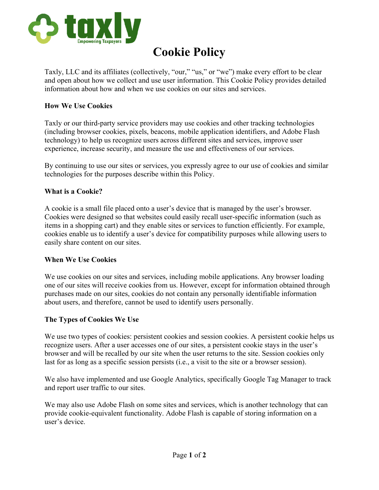

# **Cookie Policy**

Taxly, LLC and its affiliates (collectively, "our," "us," or "we") make every effort to be clear and open about how we collect and use user information. This Cookie Policy provides detailed information about how and when we use cookies on our sites and services.

### **How We Use Cookies**

Taxly or our third-party service providers may use cookies and other tracking technologies (including browser cookies, pixels, beacons, mobile application identifiers, and Adobe Flash technology) to help us recognize users across different sites and services, improve user experience, increase security, and measure the use and effectiveness of our services.

By continuing to use our sites or services, you expressly agree to our use of cookies and similar technologies for the purposes describe within this Policy.

#### **What is a Cookie?**

A cookie is a small file placed onto a user's device that is managed by the user's browser. Cookies were designed so that websites could easily recall user-specific information (such as items in a shopping cart) and they enable sites or services to function efficiently. For example, cookies enable us to identify a user's device for compatibility purposes while allowing users to easily share content on our sites.

#### **When We Use Cookies**

We use cookies on our sites and services, including mobile applications. Any browser loading one of our sites will receive cookies from us. However, except for information obtained through purchases made on our sites, cookies do not contain any personally identifiable information about users, and therefore, cannot be used to identify users personally.

#### **The Types of Cookies We Use**

We use two types of cookies: persistent cookies and session cookies. A persistent cookie helps us recognize users. After a user accesses one of our sites, a persistent cookie stays in the user's browser and will be recalled by our site when the user returns to the site. Session cookies only last for as long as a specific session persists (i.e., a visit to the site or a browser session).

We also have implemented and use Google Analytics, specifically Google Tag Manager to track and report user traffic to our sites.

We may also use Adobe Flash on some sites and services, which is another technology that can provide cookie-equivalent functionality. Adobe Flash is capable of storing information on a user's device.